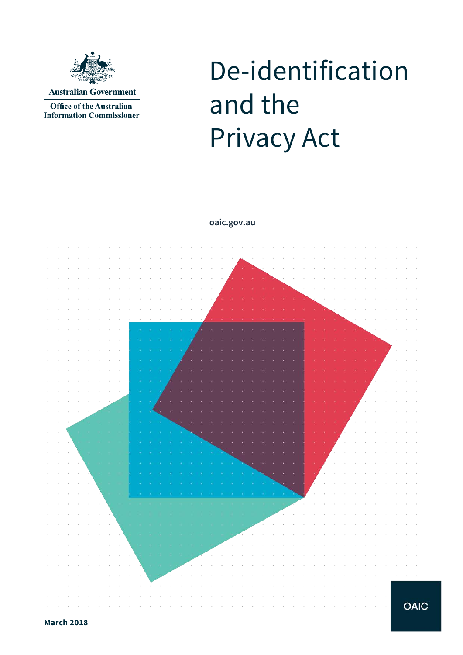

**Office of the Australian Information Commissioner** 

# De-identification and the Privacy Act

**oaic.gov.au**



**OAIC**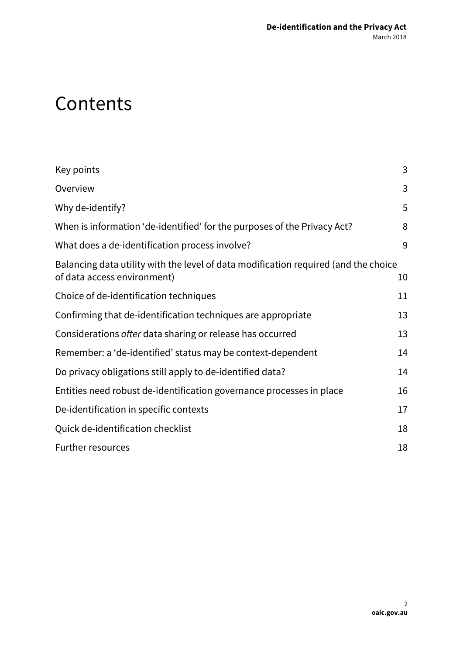# **Contents**

| Key points                                                                                                         | 3  |
|--------------------------------------------------------------------------------------------------------------------|----|
| Overview                                                                                                           | 3  |
| Why de-identify?                                                                                                   | 5  |
| When is information 'de-identified' for the purposes of the Privacy Act?                                           | 8  |
| What does a de-identification process involve?                                                                     | 9  |
| Balancing data utility with the level of data modification required (and the choice<br>of data access environment) | 10 |
| Choice of de-identification techniques                                                                             | 11 |
| Confirming that de-identification techniques are appropriate                                                       | 13 |
| Considerations after data sharing or release has occurred                                                          | 13 |
| Remember: a 'de-identified' status may be context-dependent                                                        | 14 |
| Do privacy obligations still apply to de-identified data?                                                          | 14 |
| Entities need robust de-identification governance processes in place                                               | 16 |
| De-identification in specific contexts                                                                             | 17 |
| Quick de-identification checklist                                                                                  | 18 |
| <b>Further resources</b>                                                                                           | 18 |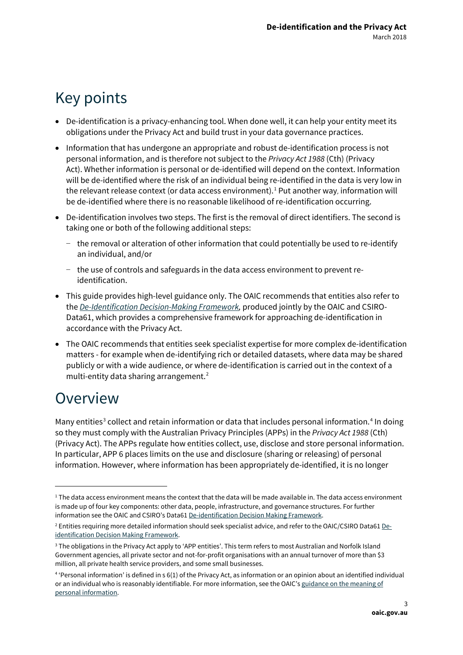# <span id="page-2-0"></span>Key points

- De-identification is a privacy-enhancing tool. When done well, it can help your entity meet its obligations under the Privacy Act and build trust in your data governance practices.
- Information that has undergone an appropriate and robust de-identification process is not personal information, and is therefore not subject to the *Privacy Act 1988* (Cth) (Privacy Act). Whether information is personal or de-identified will depend on the context. Information will be de-identified where the risk of an individual being re-identified in the data is very low in the relevant release context (or data access environment).<sup>[1](#page-2-2)</sup> Put another way, information will be de-identified where there is no reasonable likelihood of re-identification occurring.
- De-identification involves two steps. The first is the removal of direct identifiers. The second is taking one or both of the following additional steps:
	- − the removal or alteration of other information that could potentially be used to re-identify an individual, and/or
	- − the use of controls and safeguards in the data access environment to prevent reidentification.
- This guide provides high-level guidance only. The OAIC recommends that entities also refer to the *[De-Identification Decision-Making Framework,](http://data61.csiro.au/en/Our-Work/Safety-and-Security/Privacy-Preservation/De-identification-Decision-Making-Framework)* produced jointly by the OAIC and CSIRO-Data61, which provides a comprehensive framework for approaching de-identification in accordance with the Privacy Act.
- The OAIC recommends that entities seek specialist expertise for more complex de-identification matters - for example when de-identifying rich or detailed datasets, where data may be shared publicly or with a wide audience, or where de-identification is carried out in the context of a multi-entity data sharing arrangement.<sup>[2](#page-2-3)</sup>

# <span id="page-2-1"></span>Overview

1

Many entities<sup>[3](#page-2-4)</sup> collect and retain information or data that includes personal information.<sup>[4](#page-2-5)</sup> In doing so they must comply with the Australian Privacy Principles (APPs) in the *Privacy Act 1988* (Cth) (Privacy Act). The APPs regulate how entities collect, use, disclose and store personal information. In particular, APP 6 places limits on the use and disclosure (sharing or releasing) of personal information. However, where information has been appropriately de-identified, it is no longer

<span id="page-2-2"></span> $1$  The data access environment means the context that the data will be made available in. The data access environment is made up of four key components: other data, people, infrastructure, and governance structures. For further information see the OAIC and CSIRO's Data61 [De-identification Decision Making Framework.](http://data61.csiro.au/en/Our-Work/Safety-and-Security/Privacy-Preservation/De-identification-Decision-Making-Framework)

<span id="page-2-3"></span><sup>&</sup>lt;sup>2</sup> Entities requiring more detailed information should seek specialist advice, and refer to the OAIC/CSIRO Data6[1 De](http://data61.csiro.au/en/Our-Work/Safety-and-Security/Privacy-Preservation/De-identification-Decision-Making-Framework)[identification Decision Making Framework.](http://data61.csiro.au/en/Our-Work/Safety-and-Security/Privacy-Preservation/De-identification-Decision-Making-Framework)

<span id="page-2-4"></span><sup>&</sup>lt;sup>3</sup> The obligations in the Privacy Act apply to 'APP entities'. This term refers to most Australian and Norfolk Island Government agencies, all private sector and not-for-profit organisations with an annual turnover of more than \$3 million, all private health service providers, and some small businesses.

<span id="page-2-5"></span><sup>4</sup> 'Personal information' is defined in s 6(1) of the Privacy Act, as information or an opinion about an identified individual or an individual who is reasonably identifiable. For more information, see the OAIC'[s guidance on the meaning of](https://www.oaic.gov.au/agencies-and-organisations/guides/what-is-personal-information)  [personal information.](https://www.oaic.gov.au/agencies-and-organisations/guides/what-is-personal-information)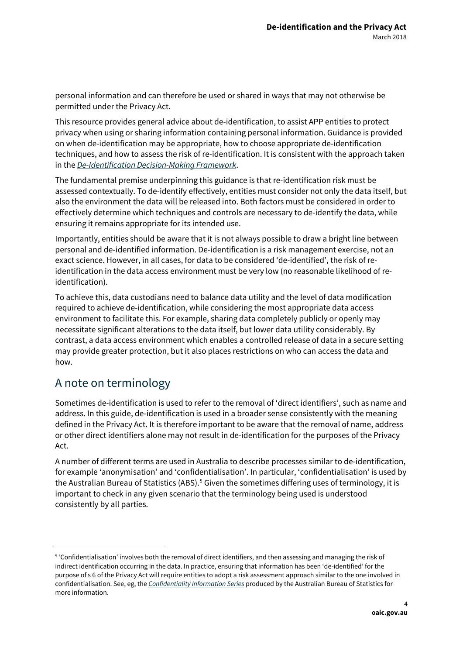personal information and can therefore be used or shared in ways that may not otherwise be permitted under the Privacy Act.

This resource provides general advice about de-identification, to assist APP entities to protect privacy when using or sharing information containing personal information. Guidance is provided on when de-identification may be appropriate, how to choose appropriate de-identification techniques, and how to assess the risk of re-identification. It is consistent with the approach taken in the *[De-Identification Decision-Making Framework](http://data61.csiro.au/en/Our-Work/Safety-and-Security/Privacy-Preservation/De-identification-Decision-Making-Framework)*.

The fundamental premise underpinning this guidance is that re-identification risk must be assessed contextually. To de-identify effectively, entities must consider not only the data itself, but also the environment the data will be released into. Both factors must be considered in order to effectively determine which techniques and controls are necessary to de-identify the data, while ensuring it remains appropriate for its intended use.

Importantly, entities should be aware that it is not always possible to draw a bright line between personal and de‐identified information. De-identification is a risk management exercise, not an exact science. However, in all cases, for data to be considered 'de-identified', the risk of reidentification in the data access environment must be very low (no reasonable likelihood of reidentification).

To achieve this, data custodians need to balance data utility and the level of data modification required to achieve de-identification, while considering the most appropriate data access environment to facilitate this. For example, sharing data completely publicly or openly may necessitate significant alterations to the data itself, but lower data utility considerably. By contrast, a data access environment which enables a controlled release of data in a secure setting may provide greater protection, but it also places restrictions on who can access the data and how.

## A note on terminology

1

Sometimes de-identification is used to refer to the removal of 'direct identifiers', such as name and address. In this guide, de-identification is used in a broader sense consistently with the meaning defined in the Privacy Act. It is therefore important to be aware that the removal of name, address or other direct identifiers alone may not result in de-identification for the purposes of the Privacy Act.

A number of different terms are used in Australia to describe processes similar to de-identification, for example 'anonymisation' and 'confidentialisation'. In particular, 'confidentialisation' is used by the Australian Bureau of Statistics (ABS).<sup>[5](#page-3-0)</sup> Given the sometimes differing uses of terminology, it is important to check in any given scenario that the terminology being used is understood consistently by all parties.

<span id="page-3-0"></span><sup>5</sup> 'Confidentialisation' involves both the removal of direct identifiers, and then assessing and managing the risk of indirect identification occurring in the data. In practice, ensuring that information has been 'de-identified' for the purpose of s 6 of the Privacy Act will require entities to adopt a risk assessment approach similar to the one involved in confidentialisation. See, eg, the *[Confidentiality Information Series](http://www.abs.gov.au/AUSSTATS/abs@.nsf/Lookup/1160.0Main+Features1Aug%202017?OpenDocument)* produced by the Australian Bureau of Statistics for more information.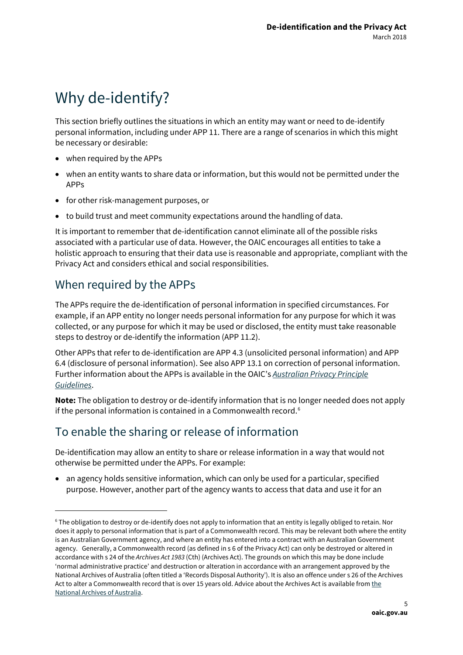# <span id="page-4-0"></span>Why de-identify?

This section briefly outlines the situations in which an entity may want or need to de-identify personal information, including under APP 11. There are a range of scenarios in which this might be necessary or desirable:

- when required by the APPs
- when an entity wants to share data or information, but this would not be permitted under the APPs
- for other risk-management purposes, or
- to build trust and meet community expectations around the handling of data.

It is important to remember that de-identification cannot eliminate all of the possible risks associated with a particular use of data. However, the OAIC encourages all entities to take a holistic approach to ensuring that their data use is reasonable and appropriate, compliant with the Privacy Act and considers ethical and social responsibilities.

#### When required by the APPs

1

The APPs require the de-identification of personal information in specified circumstances. For example, if an APP entity no longer needs personal information for any purpose for which it was collected, or any purpose for which it may be used or disclosed, the entity must take reasonable steps to destroy or de-identify the information (APP 11.2).

Other APPs that refer to de-identification are APP 4.3 (unsolicited personal information) and APP 6.4 (disclosure of personal information). See also APP 13.1 on correction of personal information. Further information about the APPs is available in the OAIC's *[Australian Privacy Principle](https://www.oaic.gov.au/agencies-and-organisations/app-guidelines/)  [Guidelines](https://www.oaic.gov.au/agencies-and-organisations/app-guidelines/)*.

**Note:** The obligation to destroy or de-identify information that is no longer needed does not apply if the personal information is contained in a Commonwealth record.<sup>[6](#page-4-1)</sup>

## To enable the sharing or release of information

De-identification may allow an entity to share or release information in a way that would not otherwise be permitted under the APPs. For example:

• an agency holds sensitive information, which can only be used for a particular, specified purpose. However, another part of the agency wants to access that data and use it for an

<span id="page-4-1"></span><sup>6</sup> The obligation to destroy or de-identify does not apply to information that an entity is legally obliged to retain. Nor does it apply to personal information that is part of a Commonwealth record. This may be relevant both where the entity is an Australian Government agency, and where an entity has entered into a contract with an Australian Government agency. Generally, a Commonwealth record (as defined in s 6 of the Privacy Act) can only be destroyed or altered in accordance with s 24 of the *Archives Act 1983* (Cth) (Archives Act). The grounds on which this may be done include 'normal administrative practice' and destruction or alteration in accordance with an arrangement approved by the National Archives of Australia (often titled a 'Records Disposal Authority'). It is also an offence under s 26 of the Archives Act to alter a Commonwealth record that is over 15 years old. Advice about the Archives Act is available from the [National Archives of Australia.](http://www.naa.gov.au/)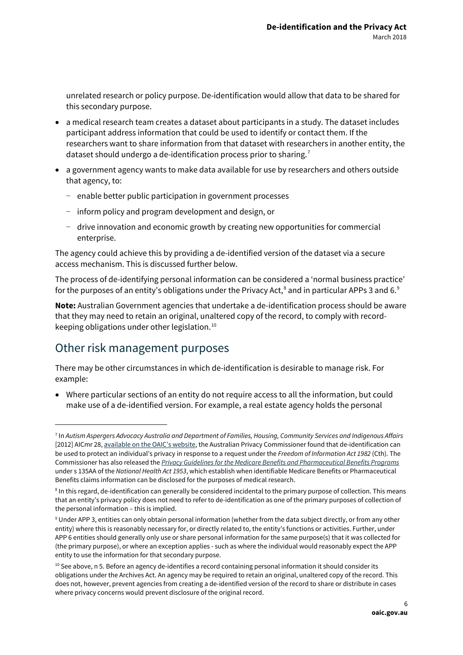unrelated research or policy purpose. De-identification would allow that data to be shared for this secondary purpose.

- a medical research team creates a dataset about participants in a study. The dataset includes participant address information that could be used to identify or contact them. If the researchers want to share information from that dataset with researchers in another entity, the dataset should undergo a de-identification process prior to sharing.<sup>[7](#page-5-0)</sup>
- a government agency wants to make data available for use by researchers and others outside that agency, to:
	- − enable better public participation in government processes
	- − inform policy and program development and design, or
	- − drive innovation and economic growth by creating new opportunities for commercial enterprise.

The agency could achieve this by providing a de-identified version of the dataset via a secure access mechanism. This is discussed further below.

The process of de-identifying personal information can be considered a 'normal business practice' for the purposes of an entity's obligations under the Privacy Act,<sup>[8](#page-5-1)</sup> and in particular APPs 3 and 6.<sup>[9](#page-5-2)</sup>

**Note:** Australian Government agencies that undertake a de-identification process should be aware that they may need to retain an original, unaltered copy of the record, to comply with recordkeeping obligations under other legislation.[10](#page-5-3)

#### Other risk management purposes

**.** 

There may be other circumstances in which de-identification is desirable to manage risk. For example:

• Where particular sections of an entity do not require access to all the information, but could make use of a de-identified version. For example, a real estate agency holds the personal

<span id="page-5-0"></span><sup>7</sup> In *Autism Aspergers Advocacy Australia and Department of Families, Housing, Community Services and Indigenous Affairs*  [2012] AICmr 28[, available on the OAIC's website,](https://www.oaic.gov.au/freedom-of-information/foi-decisions/ic-review-decisions/) the Australian Privacy Commissioner found that de-identification can be used to protect an individual's privacy in response to a request under the *Freedom of Information Act 1982* (Cth). The Commissioner has also released the *[Privacy Guidelines for the Medicare Benefits and Pharmaceutical Benefits Programs](https://www.oaic.gov.au/agencies-and-organisations/legally-binding-guidelines-and-rules/privacy-guidelines-for-the-medicare-benefits-and-pharmaceutical-benefits-programs-issued-march-2008-effective-from-1-july-2008)* under s 135AA of the *National Health Act 1953*, which establish when identifiable Medicare Benefits or Pharmaceutical Benefits claims information can be disclosed for the purposes of medical research.

<span id="page-5-1"></span><sup>&</sup>lt;sup>8</sup> In this regard, de-identification can generally be considered incidental to the primary purpose of collection. This means that an entity's privacy policy does not need to refer to de-identification as one of the primary purposes of collection of the personal information – this is implied.

<span id="page-5-2"></span><sup>9</sup> Under APP 3, entities can only obtain personal information (whether from the data subject directly, or from any other entity) where this is reasonably necessary for, or directly related to, the entity's functions or activities. Further, under APP 6 entities should generally only use or share personal information for the same purpose(s) that it was collected for (the primary purpose), or where an exception applies - such as where the individual would reasonably expect the APP entity to use the information for that secondary purpose.

<span id="page-5-3"></span> $10$  See above, n 5. Before an agency de-identifies a record containing personal information it should consider its obligations under the Archives Act. An agency may be required to retain an original, unaltered copy of the record. This does not, however, prevent agencies from creating a de-identified version of the record to share or distribute in cases where privacy concerns would prevent disclosure of the original record.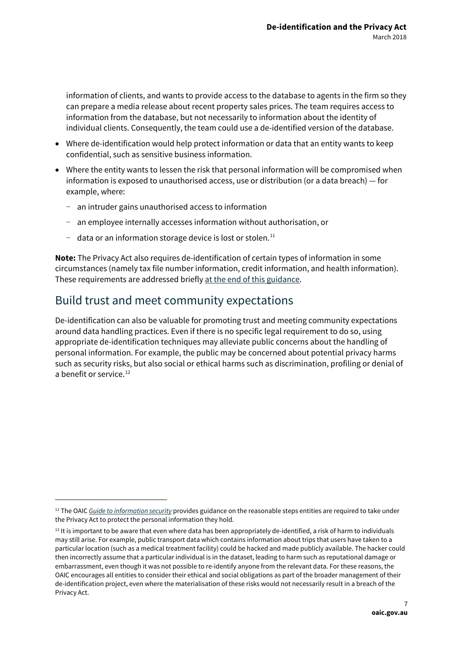information of clients, and wants to provide access to the database to agents in the firm so they can prepare a media release about recent property sales prices. The team requires access to information from the database, but not necessarily to information about the identity of individual clients. Consequently, the team could use a de-identified version of the database.

- Where de-identification would help protect information or data that an entity wants to keep confidential, such as sensitive business information.
- Where the entity wants to lessen the risk that personal information will be compromised when information is exposed to unauthorised access, use or distribution (or a data breach) — for example, where:
	- − an intruder gains unauthorised access to information
	- − an employee internally accesses information without authorisation, or
	- − data or an information storage device is lost or stolen.[11](#page-6-0)

**Note:** The Privacy Act also requires de-identification of certain types of information in some circumstances (namely tax file number information, credit information, and health information). These requirements are addressed briefl[y at the end of this guidance.](#page-16-1)

#### Build trust and meet community expectations

1

De-identification can also be valuable for promoting trust and meeting community expectations around data handling practices. Even if there is no specific legal requirement to do so, using appropriate de-identification techniques may alleviate public concerns about the handling of personal information. For example, the public may be concerned about potential privacy harms such as security risks, but also social or ethical harms such as discrimination, profiling or denial of a benefit or service.<sup>[12](#page-6-1)</sup>

<span id="page-6-0"></span><sup>11</sup> The OAIC *[Guide to information security](http://www.oaic.gov.au/privacy/privacy-resources/privacy-guides/guide-to-information-security)* provides guidance on the reasonable steps entities are required to take under the Privacy Act to protect the personal information they hold.

<span id="page-6-1"></span> $12$  It is important to be aware that even where data has been appropriately de-identified, a risk of harm to individuals may still arise. For example, public transport data which contains information about trips that users have taken to a particular location (such as a medical treatment facility) could be hacked and made publicly available. The hacker could then incorrectly assume that a particular individual is in the dataset, leading to harm such as reputational damage or embarrassment, even though it was not possible to re-identify anyone from the relevant data. For these reasons, the OAIC encourages all entities to consider their ethical and social obligations as part of the broader management of their de-identification project, even where the materialisation of these risks would not necessarily result in a breach of the Privacy Act.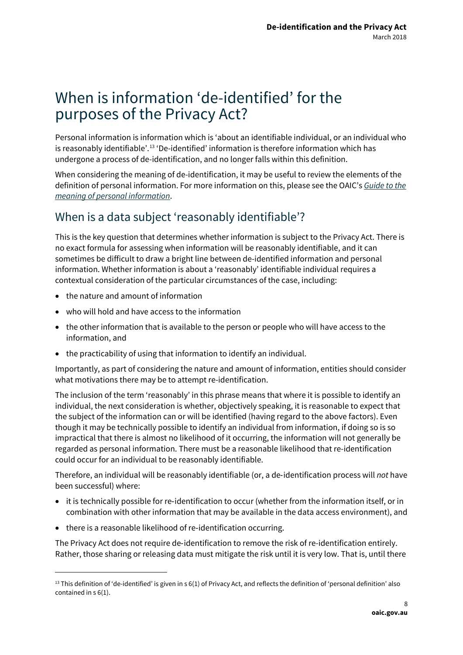## <span id="page-7-0"></span>When is information 'de-identified' for the purposes of the Privacy Act?

Personal information is information which is 'about an identifiable individual, or an individual who is reasonably identifiable'.<sup>[13](#page-7-1)</sup> 'De-identified' information is therefore information which has undergone a process of de-identification, and no longer falls within this definition.

When considering the meaning of de-identification, it may be useful to review the elements of the definition of personal information. For more information on this, please see the OAIC's *[Guide to the](https://www.oaic.gov.au/agencies-and-organisations/guides/what-is-personal-information)  [meaning of personal information](https://www.oaic.gov.au/agencies-and-organisations/guides/what-is-personal-information)*.

## When is a data subject 'reasonably identifiable'?

This is the key question that determines whether information is subject to the Privacy Act. There is no exact formula for assessing when information will be reasonably identifiable, and it can sometimes be difficult to draw a bright line between de-identified information and personal information. Whether information is about a 'reasonably' identifiable individual requires a contextual consideration of the particular circumstances of the case, including:

- the nature and amount of information
- who will hold and have access to the information
- the other information that is available to the person or people who will have access to the information, and
- the practicability of using that information to identify an individual.

Importantly, as part of considering the nature and amount of information, entities should consider what motivations there may be to attempt re-identification.

The inclusion of the term 'reasonably' in this phrase means that where it is possible to identify an individual, the next consideration is whether, objectively speaking, it is reasonable to expect that the subject of the information can or will be identified (having regard to the above factors). Even though it may be technically possible to identify an individual from information, if doing so is so impractical that there is almost no likelihood of it occurring, the information will not generally be regarded as personal information. There must be a reasonable likelihood that re-identification could occur for an individual to be reasonably identifiable.

Therefore, an individual will be reasonably identifiable (or, a de‐identification process will *not* have been successful) where:

- it is technically possible for re‐identification to occur (whether from the information itself, or in combination with other information that may be available in the data access environment), and
- there is a reasonable likelihood of re-identification occurring.

**.** 

The Privacy Act does not require de‐identification to remove the risk of re-identification entirely. Rather, those sharing or releasing data must mitigate the risk until it is very low. That is, until there

<span id="page-7-1"></span><sup>&</sup>lt;sup>13</sup> This definition of 'de-identified' is given in s 6(1) of Privacy Act, and reflects the definition of 'personal definition' also contained in s 6(1).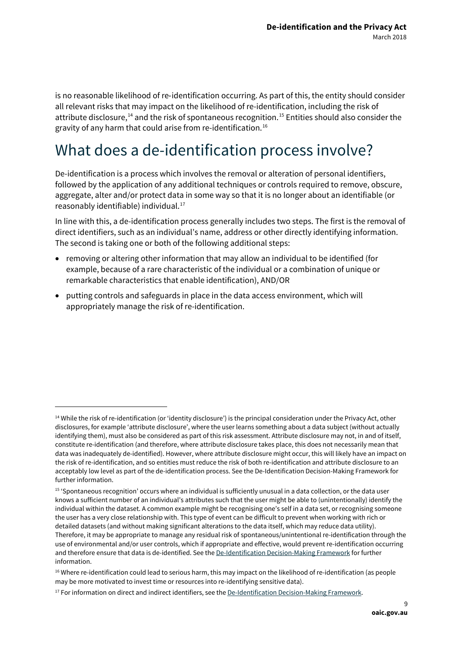is no reasonable likelihood of re‐identification occurring. As part of this, the entity should consider all relevant risks that may impact on the likelihood of re-identification, including the risk of attribute disclosure,<sup>[14](#page-8-1)</sup> and the risk of spontaneous recognition.<sup>[15](#page-8-2)</sup> Entities should also consider the gravity of any harm that could arise from re-identification.[16](#page-8-3)

# <span id="page-8-0"></span>What does a de-identification process involve?

De-identification is a process which involves the removal or alteration of personal identifiers, followed by the application of any additional techniques or controls required to remove, obscure, aggregate, alter and/or protect data in some way so that it is no longer about an identifiable (or reasonably identifiable) individual.[17](#page-8-4)

In line with this, a de-identification process generally includes two steps. The first is the removal of direct identifiers, such as an individual's name, address or other directly identifying information. The second is taking one or both of the following additional steps:

- removing or altering other information that may allow an individual to be identified (for example, because of a rare characteristic of the individual or a combination of unique or remarkable characteristics that enable identification), AND/OR
- putting controls and safeguards in place in the data access environment, which will appropriately manage the risk of re-identification.

1

<span id="page-8-1"></span><sup>&</sup>lt;sup>14</sup> While the risk of re-identification (or 'identity disclosure') is the principal consideration under the Privacy Act, other disclosures, for example 'attribute disclosure', where the user learns something about a data subject (without actually identifying them), must also be considered as part of this risk assessment. Attribute disclosure may not, in and of itself, constitute re-identification (and therefore, where attribute disclosure takes place, this does not necessarily mean that data was inadequately de-identified). However, where attribute disclosure might occur, this will likely have an impact on the risk of re-identification, and so entities must reduce the risk of both re-identification and attribute disclosure to an acceptably low level as part of the de-identification process. See the De-Identification Decision-Making Framework for further information.

<span id="page-8-2"></span><sup>15</sup> 'Spontaneous recognition' occurs where an individual is sufficiently unusual in a data collection, or the data user knows a sufficient number of an individual's attributes such that the user might be able to (unintentionally) identify the individual within the dataset. A common example might be recognising one's self in a data set, or recognising someone the user has a very close relationship with. This type of event can be difficult to prevent when working with rich or detailed datasets (and without making significant alterations to the data itself, which may reduce data utility). Therefore, it may be appropriate to manage any residual risk of spontaneous/unintentional re-identification through the use of environmental and/or user controls, which if appropriate and effective, would prevent re-identification occurring and therefore ensure that data is de-identified. See th[e De-Identification Decision-Making Framework](http://data61.csiro.au/en/Our-Work/Safety-and-Security/Privacy-Preservation/De-identification-Decision-Making-Framework) for further information.

<span id="page-8-3"></span><sup>&</sup>lt;sup>16</sup> Where re-identification could lead to serious harm, this may impact on the likelihood of re-identification (as people may be more motivated to invest time or resources into re-identifying sensitive data).

<span id="page-8-4"></span><sup>&</sup>lt;sup>17</sup> For information on direct and indirect identifiers, see th[e De-Identification Decision-Making Framework.](http://data61.csiro.au/en/Our-Work/Safety-and-Security/Privacy-Preservation/De-identification-Decision-Making-Framework)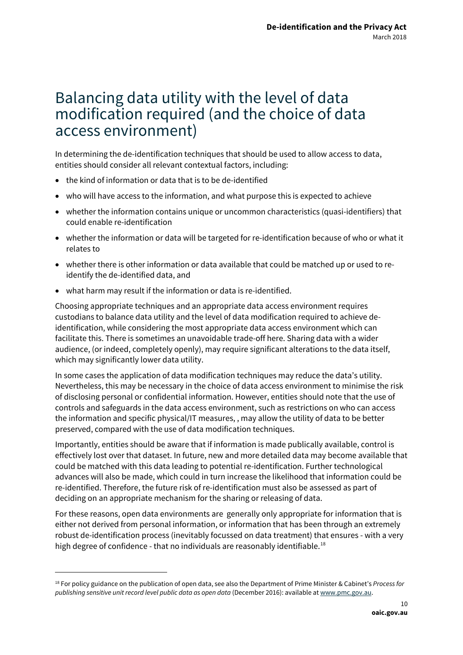## <span id="page-9-0"></span>Balancing data utility with the level of data modification required (and the choice of data access environment)

In determining the de-identification techniques that should be used to allow access to data, entities should consider all relevant contextual factors, including:

- the kind of information or data that is to be de-identified
- who will have access to the information, and what purpose this is expected to achieve
- whether the information contains unique or uncommon characteristics (quasi-identifiers) that could enable re-identification
- whether the information or data will be targeted for re-identification because of who or what it relates to
- whether there is other information or data available that could be matched up or used to reidentify the de-identified data, and
- what harm may result if the information or data is re-identified.

**.** 

Choosing appropriate techniques and an appropriate data access environment requires custodians to balance data utility and the level of data modification required to achieve deidentification, while considering the most appropriate data access environment which can facilitate this. There is sometimes an unavoidable trade-off here. Sharing data with a wider audience, (or indeed, completely openly), may require significant alterations to the data itself, which may significantly lower data utility.

In some cases the application of data modification techniques may reduce the data's utility. Nevertheless, this may be necessary in the choice of data access environment to minimise the risk of disclosing personal or confidential information. However, entities should note that the use of controls and safeguards in the data access environment, such as restrictions on who can access the information and specific physical/IT measures, , may allow the utility of data to be better preserved, compared with the use of data modification techniques.

Importantly, entities should be aware that if information is made publically available, control is effectively lost over that dataset. In future, new and more detailed data may become available that could be matched with this data leading to potential re-identification. Further technological advances will also be made, which could in turn increase the likelihood that information could be re-identified. Therefore, the future risk of re-identification must also be assessed as part of deciding on an appropriate mechanism for the sharing or releasing of data.

For these reasons, open data environments are generally only appropriate for information that is either not derived from personal information, or information that has been through an extremely robust de-identification process (inevitably focussed on data treatment) that ensures - with a very high degree of confidence - that no individuals are reasonably identifiable.<sup>18</sup>

<span id="page-9-1"></span><sup>18</sup> For policy guidance on the publication of open data, see also the Department of Prime Minister & Cabinet's *Process for publishing sensitive unit record level public data as open data* (December 2016): available a[t www.pmc.gov.au.](http://www.pmc.gov.au/)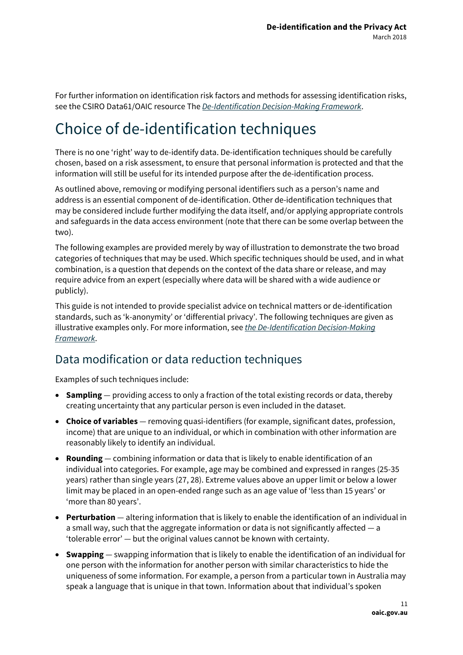For further information on identification risk factors and methods for assessing identification risks, see the CSIRO Data61/OAIC resource The *[De-Identification Decision-Making Framework](https://www.oaic.gov.au/agencies-and-organisations/guides/de-identification-decision-making-framework)*.

# <span id="page-10-0"></span>Choice of de-identification techniques

There is no one 'right' way to de-identify data. De-identification techniques should be carefully chosen, based on a risk assessment, to ensure that personal information is protected and that the information will still be useful for its intended purpose after the de-identification process.

As outlined above, removing or modifying personal identifiers such as a person's name and address is an essential component of de-identification. Other de-identification techniques that may be considered include further modifying the data itself, and/or applying appropriate controls and safeguards in the data access environment (note that there can be some overlap between the two).

The following examples are provided merely by way of illustration to demonstrate the two broad categories of techniques that may be used. Which specific techniques should be used, and in what combination, is a question that depends on the context of the data share or release, and may require advice from an expert (especially where data will be shared with a wide audience or publicly).

This guide is not intended to provide specialist advice on technical matters or de-identification standards, such as 'k-anonymity' or 'differential privacy'. The following techniques are given as illustrative examples only. For more information, see *[the De-Identification Decision-Making](https://www.oaic.gov.au/agencies-and-organisations/guides/de-identification-decision-making-framework)  [Framework](https://www.oaic.gov.au/agencies-and-organisations/guides/de-identification-decision-making-framework)*.

#### Data modification or data reduction techniques

Examples of such techniques include:

- **Sampling** providing access to only a fraction of the total existing records or data, thereby creating uncertainty that any particular person is even included in the dataset.
- **Choice of variables** removing quasi-identifiers (for example, significant dates, profession, income) that are unique to an individual, or which in combination with other information are reasonably likely to identify an individual.
- **Rounding** combining information or data that is likely to enable identification of an individual into categories. For example, age may be combined and expressed in ranges (25-35 years) rather than single years (27, 28). Extreme values above an upper limit or below a lower limit may be placed in an open-ended range such as an age value of 'less than 15 years' or 'more than 80 years'.
- **Perturbation** altering information that is likely to enable the identification of an individual in a small way, such that the aggregate information or data is not significantly affected — a 'tolerable error' — but the original values cannot be known with certainty.
- **Swapping** swapping information that is likely to enable the identification of an individual for one person with the information for another person with similar characteristics to hide the uniqueness of some information. For example, a person from a particular town in Australia may speak a language that is unique in that town. Information about that individual's spoken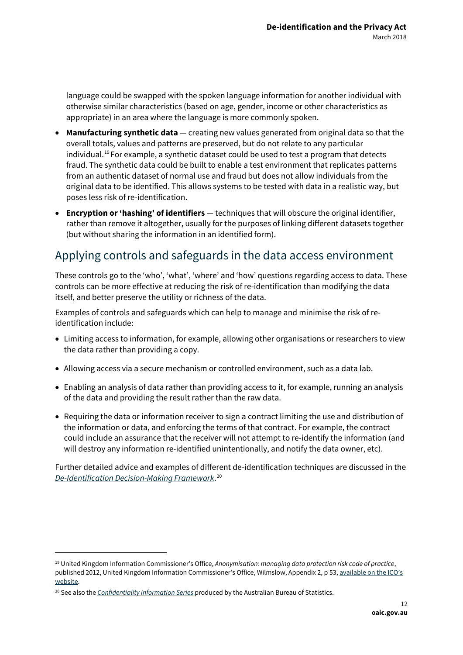language could be swapped with the spoken language information for another individual with otherwise similar characteristics (based on age, gender, income or other characteristics as appropriate) in an area where the language is more commonly spoken.

- **Manufacturing synthetic data** creating new values generated from original data so that the overall totals, values and patterns are preserved, but do not relate to any particular individual.[19](#page-11-0) For example, a synthetic dataset could be used to test a program that detects fraud. The synthetic data could be built to enable a test environment that replicates patterns from an authentic dataset of normal use and fraud but does not allow individuals from the original data to be identified. This allows systems to be tested with data in a realistic way, but poses less risk of re-identification.
- **Encryption or 'hashing' of identifiers** techniques that will obscure the original identifier, rather than remove it altogether, usually for the purposes of linking different datasets together (but without sharing the information in an identified form).

#### Applying controls and safeguards in the data access environment

These controls go to the 'who', 'what', 'where' and 'how' questions regarding access to data. These controls can be more effective at reducing the risk of re-identification than modifying the data itself, and better preserve the utility or richness of the data.

Examples of controls and safeguards which can help to manage and minimise the risk of reidentification include:

- Limiting access to information, for example, allowing other organisations or researchers to view the data rather than providing a copy.
- Allowing access via a secure mechanism or controlled environment, such as a data lab.
- Enabling an analysis of data rather than providing access to it, for example, running an analysis of the data and providing the result rather than the raw data.
- Requiring the data or information receiver to sign a contract limiting the use and distribution of the information or data, and enforcing the terms of that contract. For example, the contract could include an assurance that the receiver will not attempt to re-identify the information (and will destroy any information re-identified unintentionally, and notify the data owner, etc).

Further detailed advice and examples of different de-identification techniques are discussed in the *[De-Identification Decision-Making Framework](https://www.oaic.gov.au/agencies-and-organisations/guides/de-identification-decision-making-framework)*. [20](#page-11-1)

1

<span id="page-11-0"></span><sup>19</sup> United Kingdom Information Commissioner's Office, *Anonymisation: managing data protection risk code of practice*, published 2012, United Kingdom Information Commissioner's Office, Wilmslow, Appendix 2, p 53, available on the ICO's [website.](http://www.ico.org.uk/for_organisations/data_protection/topic_guides/anonymisation) 

<span id="page-11-1"></span><sup>20</sup> See also the *[Confidentiality Information Series](http://www.abs.gov.au/AUSSTATS/abs@.nsf/Lookup/1160.0Main+Features1Aug%202017?OpenDocument)* produced by the Australian Bureau of Statistics.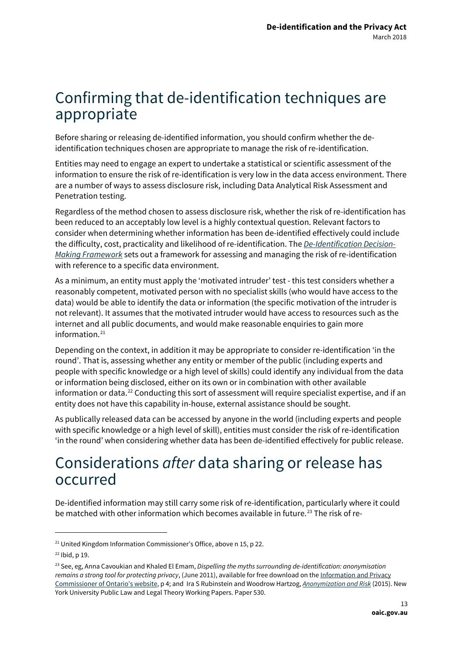## <span id="page-12-0"></span>Confirming that de-identification techniques are appropriate

Before sharing or releasing de-identified information, you should confirm whether the deidentification techniques chosen are appropriate to manage the risk of re-identification.

Entities may need to engage an expert to undertake a statistical or scientific assessment of the information to ensure the risk of re-identification is very low in the data access environment. There are a number of ways to assess disclosure risk, including Data Analytical Risk Assessment and Penetration testing.

Regardless of the method chosen to assess disclosure risk, whether the risk of re-identification has been reduced to an acceptably low level is a highly contextual question. Relevant factors to consider when determining whether information has been de-identified effectively could include the difficulty, cost, practicality and likelihood of re-identification. The *[De-Identification Decision-](https://www.oaic.gov.au/agencies-and-organisations/guides/de-identification-decision-making-framework)[Making Framework](https://www.oaic.gov.au/agencies-and-organisations/guides/de-identification-decision-making-framework)* sets out a framework for assessing and managing the risk of re-identification with reference to a specific data environment.

As a minimum, an entity must apply the 'motivated intruder' test - this test considers whether a reasonably competent, motivated person with no specialist skills (who would have access to the data) would be able to identify the data or information (the specific motivation of the intruder is not relevant). It assumes that the motivated intruder would have access to resources such as the internet and all public documents, and would make reasonable enquiries to gain more information. $21$ 

Depending on the context, in addition it may be appropriate to consider re-identification 'in the round'. That is, assessing whether any entity or member of the public (including experts and people with specific knowledge or a high level of skills) could identify any individual from the data or information being disclosed, either on its own or in combination with other available information or data.<sup>[22](#page-12-3)</sup> Conducting this sort of assessment will require specialist expertise, and if an entity does not have this capability in-house, external assistance should be sought.

As publically released data can be accessed by anyone in the world (including experts and people with specific knowledge or a high level of skill), entities must consider the risk of re-identification 'in the round' when considering whether data has been de-identified effectively for public release.

## <span id="page-12-1"></span>Considerations *after* data sharing or release has occurred

De-identified information may still carry some risk of re-identification, particularly where it could be matched with other information which becomes available in future.<sup>[23](#page-12-4)</sup> The risk of re-

**.** 

<span id="page-12-2"></span><sup>&</sup>lt;sup>21</sup> United Kingdom Information Commissioner's Office, above n 15, p 22.

<span id="page-12-3"></span> $22$  Ibid, p 19.

<span id="page-12-4"></span><sup>23</sup> See, eg, Anna Cavoukian and Khaled El Emam, *Dispelling the myths surrounding de-identification: anonymisation remains a strong tool for protecting privacy*, (June 2011), available for free download on th[e Information and Privacy](https://www.ipc.on.ca/wp-content/uploads/2016/11/anonymization.pdf)  [Commissioner of Ontario's website,](https://www.ipc.on.ca/wp-content/uploads/2016/11/anonymization.pdf) p 4; and Ira S Rubinstein and Woodrow Hartzog, *[Anonymization and Risk](http://lsr.nellco.org/cgi/viewcontent.cgi?article=1534&=&context=nyu_plltwp)* (2015). New York University Public Law and Legal Theory Working Papers. Paper 530.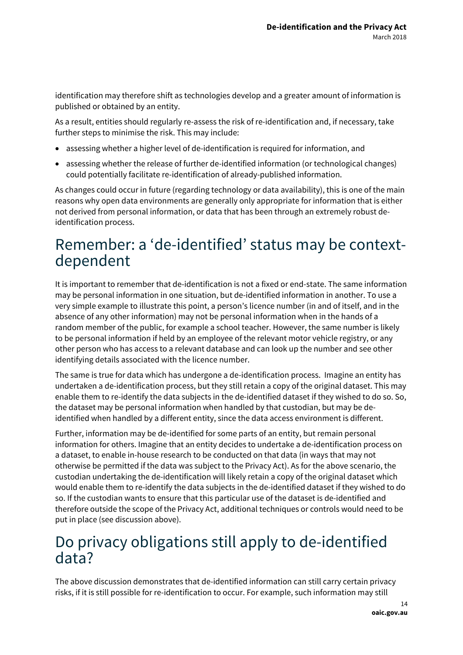identification may therefore shift as technologies develop and a greater amount of information is published or obtained by an entity.

As a result, entities should regularly re-assess the risk of re-identification and, if necessary, take further steps to minimise the risk. This may include:

- assessing whether a higher level of de-identification is required for information, and
- assessing whether the release of further de-identified information (or technological changes) could potentially facilitate re-identification of already-published information.

As changes could occur in future (regarding technology or data availability), this is one of the main reasons why open data environments are generally only appropriate for information that is either not derived from personal information, or data that has been through an extremely robust deidentification process.

# <span id="page-13-0"></span>Remember: a 'de-identified' status may be context- dependent

It is important to remember that de-identification is not a fixed or end-state. The same information may be personal information in one situation, but de-identified information in another. To use a very simple example to illustrate this point, a person's licence number (in and of itself, and in the absence of any other information) may not be personal information when in the hands of a random member of the public, for example a school teacher. However, the same number is likely to be personal information if held by an employee of the relevant motor vehicle registry, or any other person who has access to a relevant database and can look up the number and see other identifying details associated with the licence number.

The same is true for data which has undergone a de-identification process. Imagine an entity has undertaken a de-identification process, but they still retain a copy of the original dataset. This may enable them to re-identify the data subjects in the de-identified dataset if they wished to do so. So, the dataset may be personal information when handled by that custodian, but may be deidentified when handled by a different entity, since the data access environment is different.

Further, information may be de-identified for some parts of an entity, but remain personal information for others. Imagine that an entity decides to undertake a de-identification process on a dataset, to enable in-house research to be conducted on that data (in ways that may not otherwise be permitted if the data was subject to the Privacy Act). As for the above scenario, the custodian undertaking the de-identification will likely retain a copy of the original dataset which would enable them to re-identify the data subjects in the de-identified dataset if they wished to do so. If the custodian wants to ensure that this particular use of the dataset is de-identified and therefore outside the scope of the Privacy Act, additional techniques or controls would need to be put in place (see discussion above).

## <span id="page-13-1"></span>Do privacy obligations still apply to de-identified data?

The above discussion demonstrates that de-identified information can still carry certain privacy risks, if it is still possible for re-identification to occur. For example, such information may still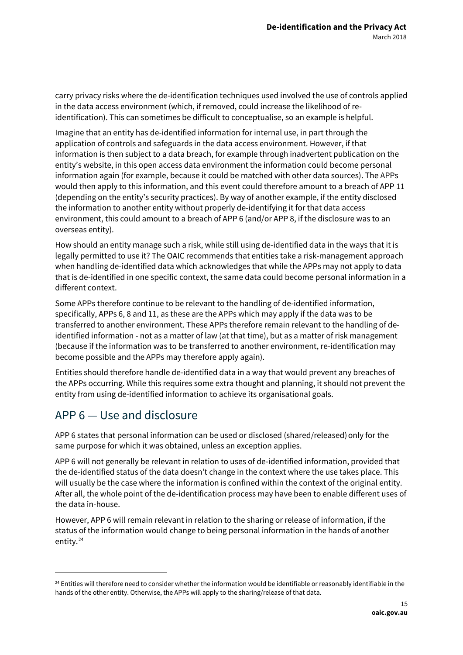carry privacy risks where the de-identification techniques used involved the use of controls applied in the data access environment (which, if removed, could increase the likelihood of reidentification). This can sometimes be difficult to conceptualise, so an example is helpful.

Imagine that an entity has de-identified information for internal use, in part through the application of controls and safeguards in the data access environment. However, if that information is then subject to a data breach, for example through inadvertent publication on the entity's website, in this open access data environment the information could become personal information again (for example, because it could be matched with other data sources). The APPs would then apply to this information, and this event could therefore amount to a breach of APP 11 (depending on the entity's security practices). By way of another example, if the entity disclosed the information to another entity without properly de-identifying it for that data access environment, this could amount to a breach of APP 6 (and/or APP 8, if the disclosure was to an overseas entity).

How should an entity manage such a risk, while still using de-identified data in the ways that it is legally permitted to use it? The OAIC recommends that entities take a risk-management approach when handling de-identified data which acknowledges that while the APPs may not apply to data that is de-identified in one specific context, the same data could become personal information in a different context.

Some APPs therefore continue to be relevant to the handling of de-identified information, specifically, APPs 6, 8 and 11, as these are the APPs which may apply if the data was to be transferred to another environment. These APPs therefore remain relevant to the handling of deidentified information - not as a matter of law (at that time), but as a matter of risk management (because if the information was to be transferred to another environment, re-identification may become possible and the APPs may therefore apply again).

Entities should therefore handle de-identified data in a way that would prevent any breaches of the APPs occurring. While this requires some extra thought and planning, it should not prevent the entity from using de-identified information to achieve its organisational goals.

## APP 6 — Use and disclosure

**.** 

APP 6 states that personal information can be used or disclosed (shared/released)only for the same purpose for which it was obtained, unless an exception applies.

APP 6 will not generally be relevant in relation to uses of de-identified information, provided that the de-identified status of the data doesn't change in the context where the use takes place. This will usually be the case where the information is confined within the context of the original entity. After all, the whole point of the de-identification process may have been to enable different uses of the data in-house.

However, APP 6 will remain relevant in relation to the sharing or release of information, if the status of the information would change to being personal information in the hands of another entity.<sup>[24](#page-14-0)</sup>

<span id="page-14-0"></span><sup>&</sup>lt;sup>24</sup> Entities will therefore need to consider whether the information would be identifiable or reasonably identifiable in the hands of the other entity. Otherwise, the APPs will apply to the sharing/release of that data.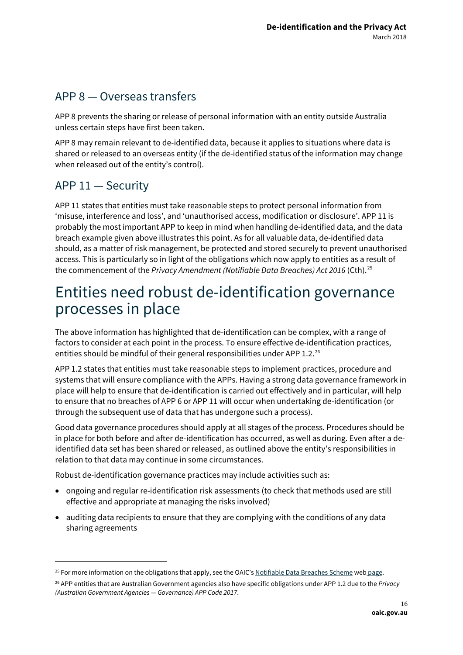#### APP 8 — Overseas transfers

APP 8 prevents the sharing or release of personal information with an entity outside Australia unless certain steps have first been taken.

APP 8 may remain relevant to de-identified data, because it applies to situations where data is shared or released to an overseas entity (if the de-identified status of the information may change when released out of the entity's control).

#### APP 11 — Security

**-**

APP 11 states that entities must take reasonable steps to protect personal information from 'misuse, interference and loss', and 'unauthorised access, modification or disclosure'. APP 11 is probably the most important APP to keep in mind when handling de-identified data, and the data breach example given above illustrates this point. As for all valuable data, de-identified data should, as a matter of risk management, be protected and stored securely to prevent unauthorised access. This is particularly so in light of the obligations which now apply to entities as a result of the commencement of the *Privacy Amendment (Notifiable Data Breaches) Act 2016* (Cth).<sup>[25](#page-15-1)</sup>

## <span id="page-15-0"></span>Entities need robust de-identification governance processes in place

The above information has highlighted that de-identification can be complex, with a range of factors to consider at each point in the process. To ensure effective de-identification practices, entities should be mindful of their general responsibilities under APP 1.2.<sup>[26](#page-15-2)</sup>

APP 1.2 states that entities must take reasonable steps to implement practices, procedure and systems that will ensure compliance with the APPs. Having a strong data governance framework in place will help to ensure that de-identification is carried out effectively and in particular, will help to ensure that no breaches of APP 6 or APP 11 will occur when undertaking de-identification (or through the subsequent use of data that has undergone such a process).

Good data governance procedures should apply at all stages of the process. Procedures should be in place for both before and after de-identification has occurred, as well as during. Even after a deidentified data set has been shared or released, as outlined above the entity's responsibilities in relation to that data may continue in some circumstances.

Robust de-identification governance practices may include activities such as:

- ongoing and regular re-identification risk assessments (to check that methods used are still effective and appropriate at managing the risks involved)
- auditing data recipients to ensure that they are complying with the conditions of any data sharing agreements

<span id="page-15-1"></span> $25$  For more information on the obligations that apply, see the OAIC'[s Notifiable Data Breaches Scheme](https://www.oaic.gov.au/privacy-law/privacy-act/notifiable-data-breaches-scheme) web page.

<span id="page-15-2"></span><sup>26</sup> APP entities that are Australian Government agencies also have specific obligations under APP 1.2 due to the *Privacy (Australian Government Agencies — Governance) APP Code 2017*.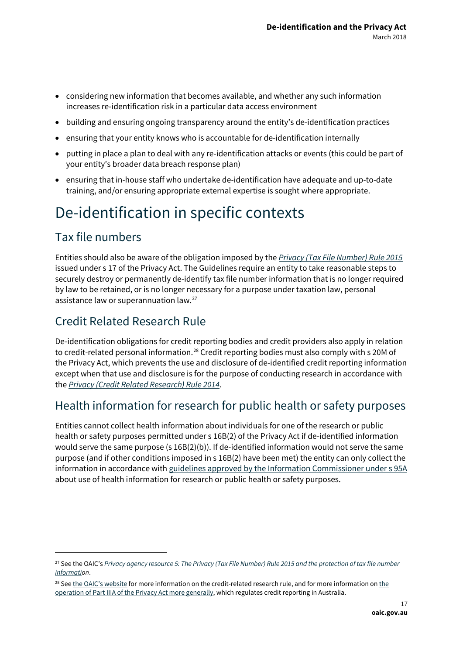- considering new information that becomes available, and whether any such information increases re-identification risk in a particular data access environment
- building and ensuring ongoing transparency around the entity's de-identification practices
- ensuring that your entity knows who is accountable for de-identification internally
- putting in place a plan to deal with any re-identification attacks or events (this could be part of your entity's broader data breach response plan)
- ensuring that in-house staff who undertake de-identification have adequate and up-to-date training, and/or ensuring appropriate external expertise is sought where appropriate.

# <span id="page-16-0"></span>De-identification in specific contexts

## <span id="page-16-1"></span>Tax file numbers

**-**

Entities should also be aware of the obligation imposed by the *[Privacy \(Tax File Number\) Rule 2015](https://www.oaic.gov.au/privacy-law/privacy-act/tax-file-numbers)* issued under s 17 of the Privacy Act. The Guidelines require an entity to take reasonable steps to securely destroy or permanently de-identify tax file number information that is no longer required by law to be retained, or is no longer necessary for a purpose under taxation law, personal assistance law or superannuation law.[27](#page-16-2)

## Credit Related Research Rule

De-identification obligations for credit reporting bodies and credit providers also apply in relation to credit-related personal information.<sup>[28](#page-16-3)</sup> Credit reporting bodies must also comply with s 20M of the Privacy Act, which prevents the use and disclosure of de-identified credit reporting information except when that use and disclosure is for the purpose of conducting research in accordance with the *[Privacy \(Credit Related Research\) Rule 2014](https://www.oaic.gov.au/agencies-and-organisations/legally-binding-guidelines-and-rules/privacy-credit-related-research-rule-2014)*.

## Health information for research for public health or safety purposes

Entities cannot collect health information about individuals for one of the research or public health or safety purposes permitted under s 16B(2) of the Privacy Act if de-identified information would serve the same purpose (s 16B(2)(b)). If de-identified information would not serve the same purpose (and if other conditions imposed in s 16B(2) have been met) the entity can only collect the information in accordance wit[h guidelines approved by the Information Commissioner under s 95A](https://www.oaic.gov.au/agencies-and-organisations/legally-binding-guidelines-and-rules/guidelines-under-section-95a-of-the-privacy-act-1988-2014) about use of health information for research or public health or safety purposes.

<span id="page-16-2"></span><sup>&</sup>lt;sup>27</sup> See the OAIC's *Privacy agency resource 5: The Privacy (Tax File Number) Rule 2015 and the protection of tax file number [informatio](https://www.oaic.gov.au/agencies-and-organisations/agency-resources/privacy-agency-resource-5-the-privacy-tax-file-number-rule-2015-and-the-protection-of-tax-file-number-information)n*.

<span id="page-16-3"></span><sup>&</sup>lt;sup>28</sup> Se[e the OAIC's website](https://www.oaic.gov.au/agencies-and-organisations/legally-binding-guidelines-and-rules/privacy-credit-related-research-rule-2014) for more information o[n the](https://www.oaic.gov.au/privacy-law/privacy-act/credit-reporting) credit-related research rule, and for more information on the [operation of Part IIIA of the Privacy Act more generally,](https://www.oaic.gov.au/privacy-law/privacy-act/credit-reporting) which regulates credit reporting in Australia.